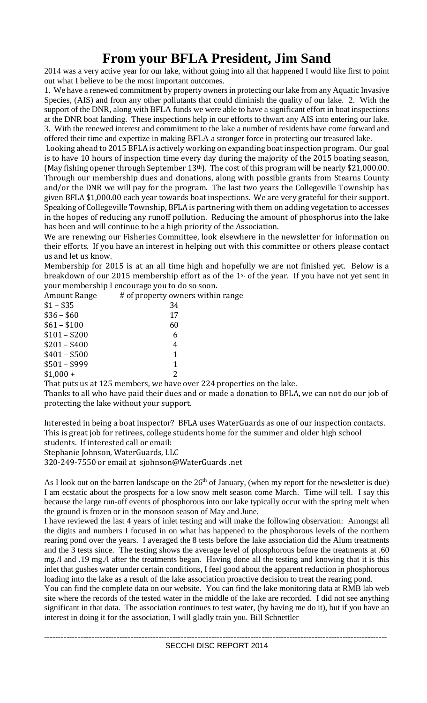# **From your BFLA President, Jim Sand**

2014 was a very active year for our lake, without going into all that happened I would like first to point out what I believe to be the most important outcomes.

1. We have a renewed commitment by property owners in protecting our lake from any Aquatic Invasive Species, (AIS) and from any other pollutants that could diminish the quality of our lake. 2. With the support of the DNR, along with BFLA funds we were able to have a significant effort in boat inspections at the DNR boat landing. These inspections help in our efforts to thwart any AIS into entering our lake. 3. With the renewed interest and commitment to the lake a number of residents have come forward and offered their time and expertize in making BFLA a stronger force in protecting our treasured lake.

Looking ahead to 2015 BFLA is actively working on expanding boat inspection program. Our goal is to have 10 hours of inspection time every day during the majority of the 2015 boating season, (May fishing opener through September 13th). The cost of this program will be nearly \$21,000.00. Through our membership dues and donations, along with possible grants from Stearns County and/or the DNR we will pay for the program. The last two years the Collegeville Township has given BFLA \$1,000.00 each year towards boat inspections. We are very grateful for their support. Speaking of Collegeville Township, BFLA is partnering with them on adding vegetation to accesses in the hopes of reducing any runoff pollution. Reducing the amount of phosphorus into the lake has been and will continue to be a high priority of the Association.

We are renewing our Fisheries Committee, look elsewhere in the newsletter for information on their efforts. If you have an interest in helping out with this committee or others please contact us and let us know.

Membership for 2015 is at an all time high and hopefully we are not finished yet. Below is a breakdown of our 2015 membership effort as of the  $1<sup>st</sup>$  of the year. If you have not yet sent in your membership I encourage you to do so soon.<br>Amount Range  $\qquad \#$  of property owners within range

| <b>Amount Range</b> | # of property owners within range |
|---------------------|-----------------------------------|
| $$1 - $35$          | 34                                |
| $$36 - $60$         | 17                                |
| $$61 - $100$        | 60                                |
| $$101 - $200$       | 6                                 |
| $$201 - $400$       | 4                                 |
| $$401 - $500$       | 1                                 |
| $$501 - $999$       | 1                                 |
| $$1,000+$           | 2                                 |
|                     |                                   |

That puts us at 125 members, we have over 224 properties on the lake. Thanks to all who have paid their dues and or made a donation to BFLA, we can not do our job of

protecting the lake without your support.

Interested in being a boat inspector? BFLA uses WaterGuards as one of our inspection contacts. This is great job for retirees, college students home for the summer and older high school students. If interested call or email:

Stephanie Johnson, WaterGuards, LLC

320-249-7550 or email at sjohnson@WaterGuards .net

As I look out on the barren landscape on the  $26<sup>th</sup>$  of January, (when my report for the newsletter is due) I am ecstatic about the prospects for a low snow melt season come March. Time will tell. I say this because the large run-off events of phosphorous into our lake typically occur with the spring melt when the ground is frozen or in the monsoon season of May and June.

I have reviewed the last 4 years of inlet testing and will make the following observation: Amongst all the digits and numbers I focused in on what has happened to the phosphorous levels of the northern rearing pond over the years. I averaged the 8 tests before the lake association did the Alum treatments and the 3 tests since. The testing shows the average level of phosphorous before the treatments at .60 mg./l and .19 mg./l after the treatments began. Having done all the testing and knowing that it is this inlet that gushes water under certain conditions, I feel good about the apparent reduction in phosphorous loading into the lake as a result of the lake association proactive decision to treat the rearing pond.

You can find the complete data on our website. You can find the lake monitoring data at RMB lab web site where the records of the tested water in the middle of the lake are recorded. I did not see anything significant in that data. The association continues to test water, (by having me do it), but if you have an interest in doing it for the association, I will gladly train you. Bill Schnettler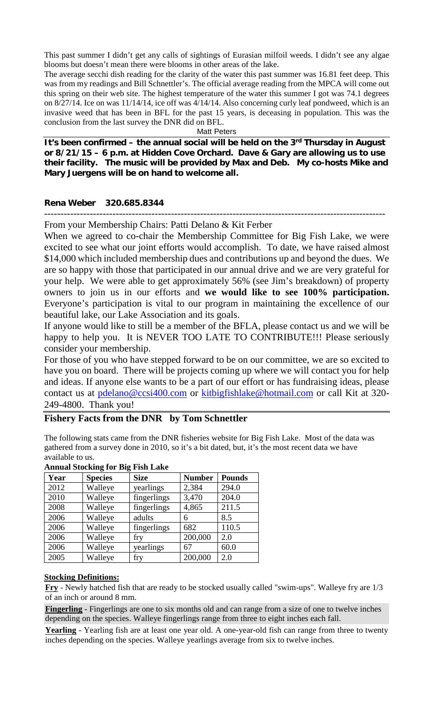This past summer I didn't get any calls of sightings of Eurasian milfoil weeds. I didn't see any algae blooms but doesn't mean there were blooms in other areas of the lake.

The average secchi dish reading for the clarity of the water this past summer was 16.81 feet deep. This was from my readings and Bill Schnettler's. The official average reading from the MPCA will come out this spring on their web site. The highest temperature of the water this summer I got was 74.1 degrees on 8/27/14. Ice on was 11/14/14, ice off was 4/14/14. Also concerning curly leaf pondweed, which is an invasive weed that has been in BFL for the past 15 years, is deceasing in population. This was the conclusion from the last survey the DNR did on BFL.

Matt Peters

**It's been confirmed – the annual social will be held on the 3rd Thursday in August or 8/21/15 – 6 p.m. at Hidden Cove Orchard. Dave & Gary are allowing us to use their facility. The music will be provided by Max and Deb. My co-hosts Mike and Mary Juergens will be on hand to welcome all.**

#### **Rena Weber 320.685.8344**

--------------------------------------------------------------------------------------------------------- From your Membership Chairs: Patti Delano & Kit Ferber

When we agreed to co-chair the Membership Committee for Big Fish Lake, we were excited to see what our joint efforts would accomplish. To date, we have raised almost \$14,000 which included membership dues and contributions up and beyond the dues. We are so happy with those that participated in our annual drive and we are very grateful for your help. We were able to get approximately 56% (see Jim's breakdown) of property owners to join us in our efforts and **we would like to see 100% participation.**  Everyone's participation is vital to our program in maintaining the excellence of our beautiful lake, our Lake Association and its goals.

If anyone would like to still be a member of the BFLA, please contact us and we will be happy to help you. It is NEVER TOO LATE TO CONTRIBUTE!!! Please seriously consider your membership.

For those of you who have stepped forward to be on our committee, we are so excited to have you on board. There will be projects coming up where we will contact you for help and ideas. If anyone else wants to be a part of our effort or has fundraising ideas, please contact us at [pdelano@ccsi400.com](mailto:pdelano@ccsi400.com) or [kitbigfishlake@hotmail.com](mailto:kitbigfishlake@hotmail.com) or call Kit at 320- 249-4800. Thank you!

## **Fishery Facts from the DNR by Tom Schnettler**

The following stats came from the DNR fisheries website for Big Fish Lake. Most of the data was gathered from a survey done in 2010, so it's a bit dated, but, it's the most recent data we have available to us.

| Year | <b>Species</b> | <b>Size</b> | <b>Number</b> | <b>Pounds</b> |
|------|----------------|-------------|---------------|---------------|
| 2012 | Walleye        | yearlings   | 2,384         | 294.0         |
| 2010 | Walleye        | fingerlings | 3,470         | 204.0         |
| 2008 | Walleye        | fingerlings | 4,865         | 211.5         |
| 2006 | Walleye        | adults      | 6             | 8.5           |
| 2006 | Walleye        | fingerlings | 682           | 110.5         |
| 2006 | Walleye        | fry         | 200,000       | 2.0           |
| 2006 | Walleye        | yearlings   | 67            | 60.0          |
| 2005 | Walleye        | fry         | 200,000       | 2.0           |

#### **Annual Stocking for Big Fish Lake**

## **Stocking Definitions:**

**Fry** - Newly hatched fish that are ready to be stocked usually called "swim-ups". Walleye fry are 1/3 of an inch or around 8 mm.

**Fingerling** - Fingerlings are one to six months old and can range from a size of one to twelve inches depending on the species. Walleye fingerlings range from three to eight inches each fall.

**Yearling** - Yearling fish are at least one year old. A one-year-old fish can range from three to twenty inches depending on the species. Walleye yearlings average from six to twelve inches.